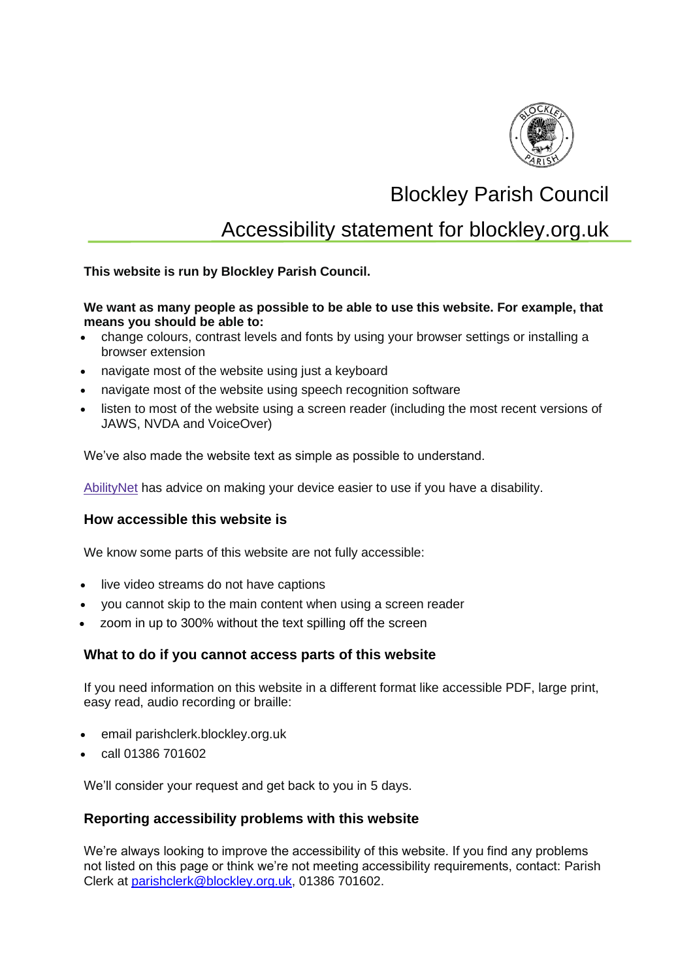

# Blockley Parish Council

# Accessibility statement for blockley.org.uk

**This website is run by Blockley Parish Council.**

#### **We want as many people as possible to be able to use this website. For example, that means you should be able to:**

- change colours, contrast levels and fonts by using your browser settings or installing a browser extension
- navigate most of the website using just a keyboard
- navigate most of the website using speech recognition software
- listen to most of the website using a screen reader (including the most recent versions of JAWS, NVDA and VoiceOver)

We've also made the website text as simple as possible to understand.

[AbilityNet](https://mcmw.abilitynet.org.uk/) has advice on making your device easier to use if you have a disability.

#### **How accessible this website is**

We know some parts of this website are not fully accessible:

- live video streams do not have captions
- you cannot skip to the main content when using a screen reader
- zoom in up to 300% without the text spilling off the screen

#### **What to do if you cannot access parts of this website**

If you need information on this website in a different format like accessible PDF, large print, easy read, audio recording or braille:

- email parishclerk.blockley.org.uk
- call 01386 701602

We'll consider your request and get back to you in 5 days.

#### **Reporting accessibility problems with this website**

We're always looking to improve the accessibility of this website. If you find any problems not listed on this page or think we're not meeting accessibility requirements, contact: Parish Clerk at [parishclerk@blockley.org.uk,](mailto:parishclerk@blockley.org.uk) 01386 701602.